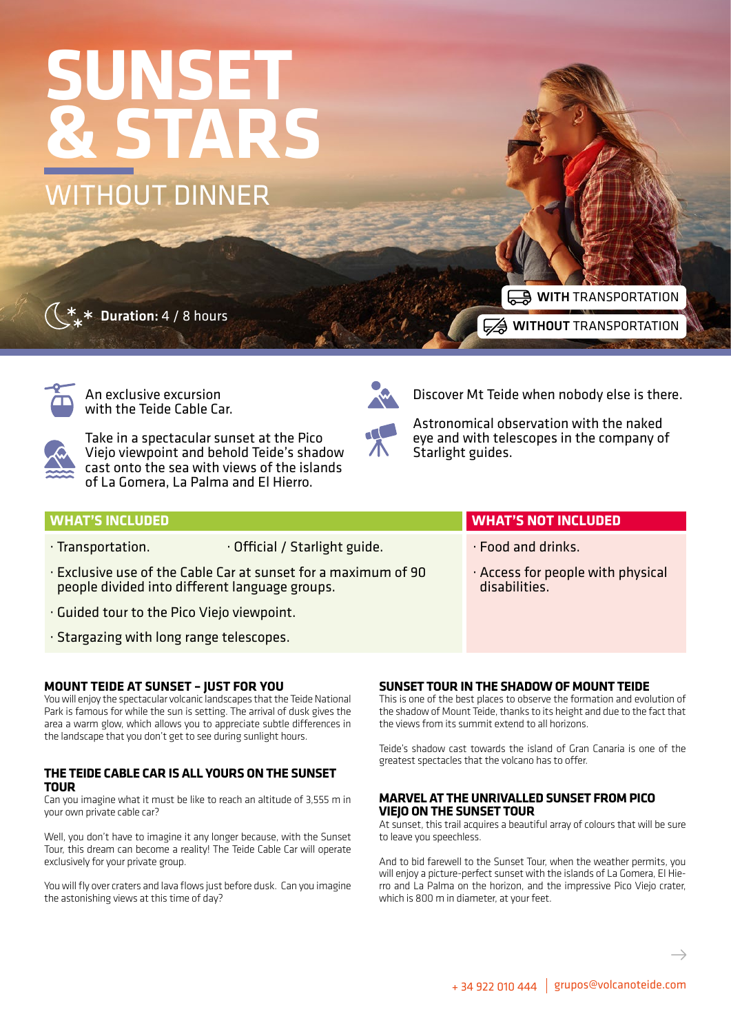# WITHOUT DINNER **SUNSET & STARS**

Duration: 4 / 8 hours

**A WITH** TRANSPORTATION **EXA WITHOUT TRANSPORTATION** 



An exclusive excursion with the Teide Cable Car.



Take in a spectacular sunset at the Pico Viejo viewpoint and behold Teide's shadow cast onto the sea with views of the islands of La Gomera, La Palma and El Hierro.



Discover Mt Teide when nobody else is there.

Astronomical observation with the naked eye and with telescopes in the company of Starlight guides.

### **WHAT'S INCLUDED WHAT'S NOT INCLUDED** · Transportation. **· Official / Starlight guide.** · Exclusive use of the Cable Car at sunset for a maximum of 90 people divided into different language groups. · Food and drinks. · Access for people with physical disabilities.

- · Guided tour to the Pico Viejo viewpoint.
- · Stargazing with long range telescopes.

### **MOUNT TEIDE AT SUNSET – JUST FOR YOU**

You will enjoy the spectacular volcanic landscapes that the Teide National Park is famous for while the sun is setting. The arrival of dusk gives the area a warm glow, which allows you to appreciate subtle differences in the landscape that you don't get to see during sunlight hours.

### **THE TEIDE CABLE CAR IS ALL YOURS ON THE SUNSET TOUR**

Can you imagine what it must be like to reach an altitude of 3,555 m in your own private cable car?

Well, you don't have to imagine it any longer because, with the Sunset Tour, this dream can become a reality! The Teide Cable Car will operate exclusively for your private group.

You will fly over craters and lava flows just before dusk. Can you imagine the astonishing views at this time of day?

## **SUNSET TOUR IN THE SHADOW OF MOUNT TEIDE**

This is one of the best places to observe the formation and evolution of the shadow of Mount Teide, thanks to its height and due to the fact that the views from its summit extend to all horizons.

Teide's shadow cast towards the island of Gran Canaria is one of the greatest spectacles that the volcano has to offer.

### **MARVEL AT THE UNRIVALLED SUNSET FROM PICO VIEJO ON THE SUNSET TOUR**

At sunset, this trail acquires a beautiful array of colours that will be sure to leave you speechless.

And to bid farewell to the Sunset Tour, when the weather permits, you will enjoy a picture-perfect sunset with the islands of La Gomera, El Hierro and La Palma on the horizon, and the impressive Pico Viejo crater, which is 800 m in diameter, at your feet.

 $\rightarrow$